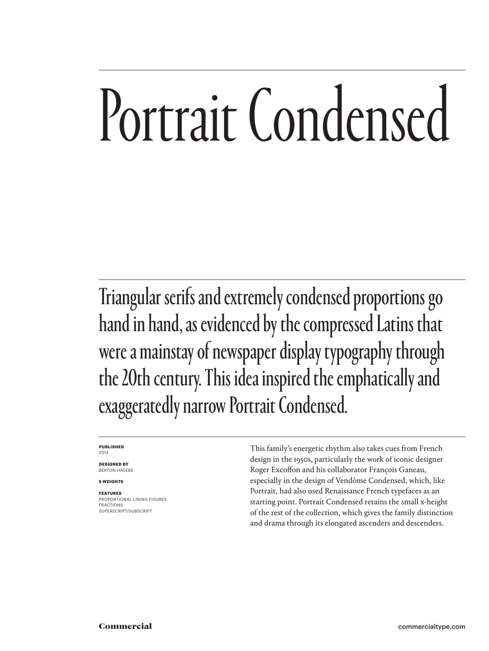# Portrait Condensed

Triangular serifs and extremely condensed proportions go hand in hand, as evidenced by the compressed Latins that were a mainstay of newspaper display typography through the 20th century. This idea inspired the emphatically and exaggeratedly narrow Portrait Condensed.

#### **PUBLISHED** 2013

**DESIGNED BY** BERTON HASEBE

**5 WEIGHTS**

#### **FEATURES**

PROPORTIONAL LINING FIGURES **FRACTIONS** SUPERSCRIPT/SUBSCRIPT

This family's energetic rhythm also takes cues from French design in the 1950s, particularly the work of iconic designer Roger Excoffon and his collaborator François Ganeau, especially in the design of Vendôme Condensed, which, like Portrait, had also used Renaissance French typefaces as an starting point. Portrait Condensed retains the small x-height of the rest of the collection, which gives the family distinction and drama through its elongated ascenders and descenders.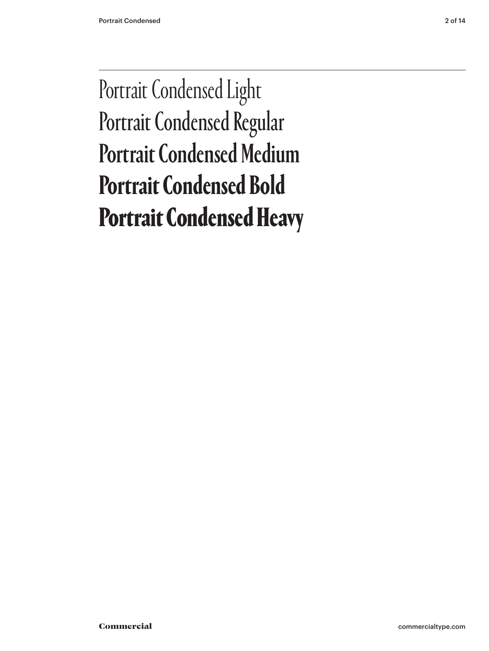## Portrait Condensed Light Portrait Condensed Regular Portrait Condensed Medium **Portrait Condensed Bold** Portrait Condensed Heavy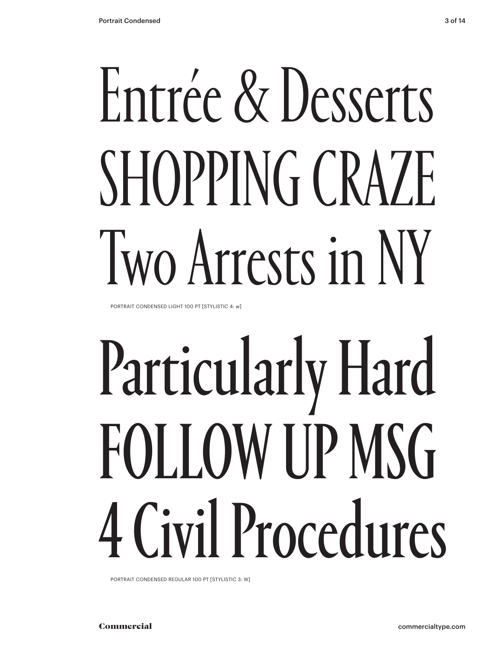# Entrée & Desserts SHOPPING CRAZE Two Arrests in NY

PORTRAIT CONDENSED LIGHT 100 PT [STYLISTIC 4: w]

# Particularly Hard FOLLOW UP MSG 4 Civil Procedures

PORTRAIT CONDENSED REGULAR 100 PT [STYLISTIC 3: W]

Commercial commercialtype.com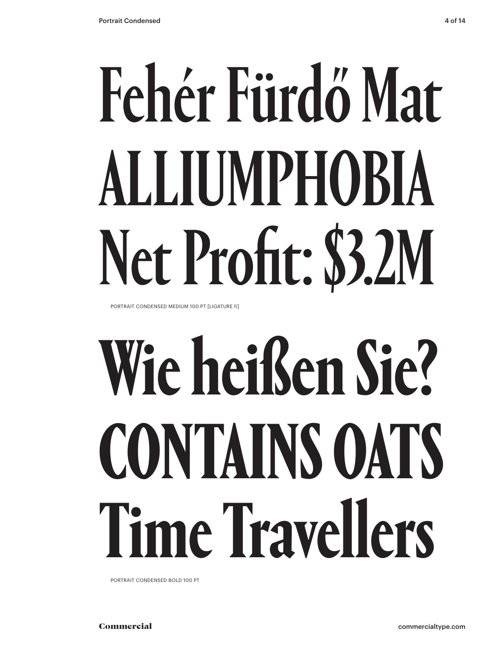# Fehér Fürdő Mat ALLIUMPHOBIA Net Profit: \$3.2M

PORTRAIT CONDENSED MEDIUM 100 PT [LIGATURE fi]

# **Wie heißen Sie? CONTAINS OATS Time Travellers**

PORTRAIT CONDENSED BOLD 100 PT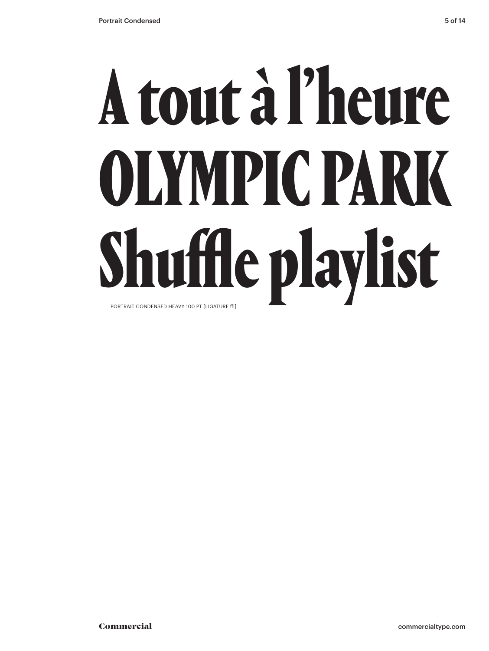## A tout à l'heure OLYMPIC PARK Shuffle playlist PORTRAIT CONDENSED HEAVY 100 PT [LIGATURE ffl]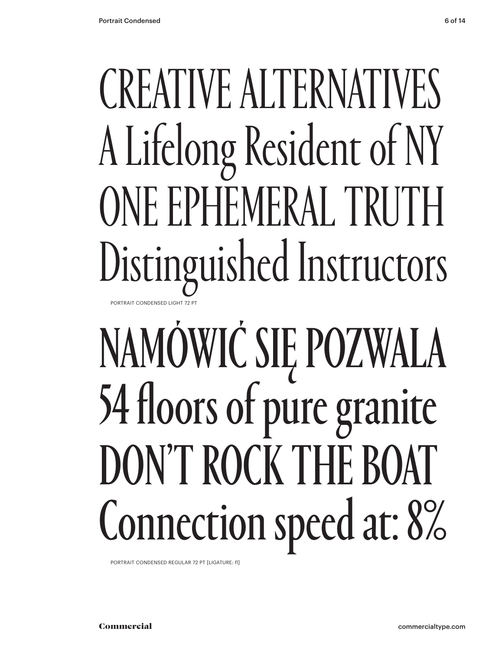## CREATIVE ALTERNATIVES A Lifelong Resident of NY ONE EPHEMERAL TRUTH Distinguished Instructors PORTRAIT CONDENSED LIGHT 72 PT

## NAMÓWIĆ SIĘ POZWALA 54 floors of pure granite DON'T ROCK THE BOAT Connection speed at: 8%

PORTRAIT CONDENSED REGULAR 72 PT [LIGATURE: fl]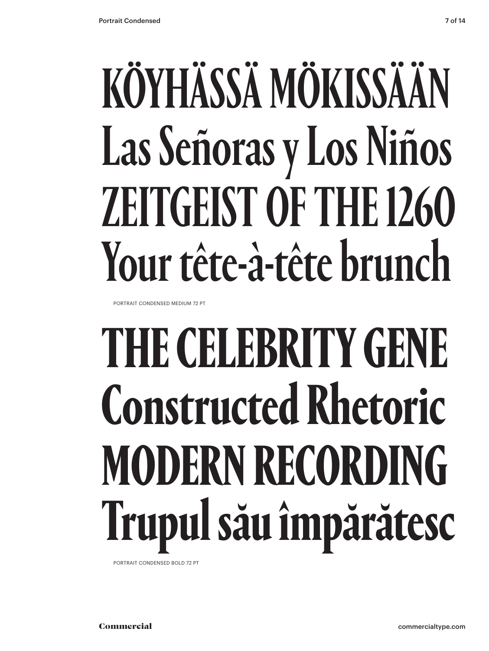## KÖYHÄSSÄ MÖKISSÄÄN Las Señoras y Los Niños ZEITGEIST OF THE 1260 Your tête-à-tête brunch

PORTRAIT CONDENSED MEDIUM 72 PT

## **THE CELEBRITY GENE Constructed Rhetoric MODERN RECORDING Trupul său împărătesc**

PORTRAIT CONDENSED BOLD 72 PT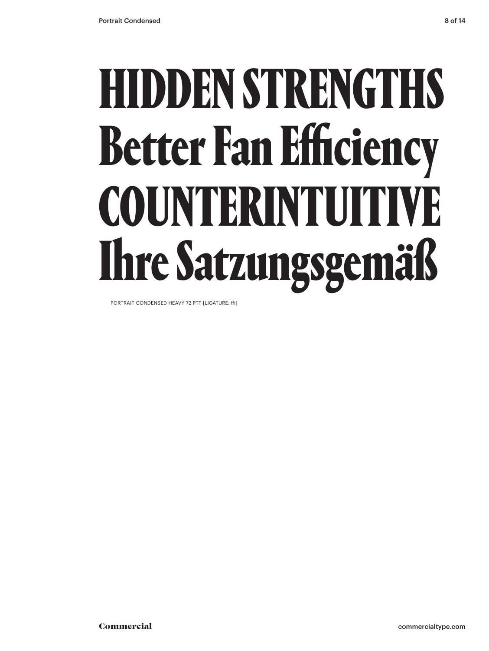## HIDDEN STRENGTHS Better Fan Efficiency COUNTERINTUITIVE Ihre Satzungsgemäß

PORTRAIT CONDENSED HEAVY 72 PTT [LIGATURE: ffi]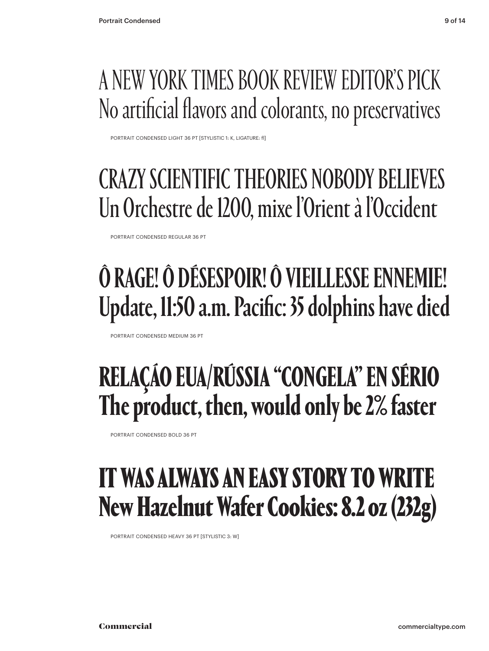### A NEW YORK TIMES BOOK REVIEW EDITOR'S PICK No artificial flavors and colorants, no preservatives

PORTRAIT CONDENSED LIGHT 36 PT [STYLISTIC 1: K, LIGATURE: fl]

### CRAZY SCIENTIFIC THEORIES NOBODY BELIEVES Un Orchestre de 1200, mixe l'Orient à l'Occident

PORTRAIT CONDENSED REGULAR 36 PT

## Ô RAGE! Ô DÉSESPOIR! Ô VIEILLESSE ENNEMIE! Update, 11:50 a.m. Pacific: 35 dolphins have died

PORTRAIT CONDENSED MEDIUM 36 PT

### **RELAÇÁO EUA/RÚSSIA "CONGELA" EN SÉRIO The product, then, would only be 2% faster**

PORTRAIT CONDENSED BOLD 36 PT

### IT WAS ALWAYS AN EASY STORY TO WRITE New Hazelnut Wafer Cookies: 8.2 oz (232g)

PORTRAIT CONDENSED HEAVY 36 PT [STYLISTIC 3: W]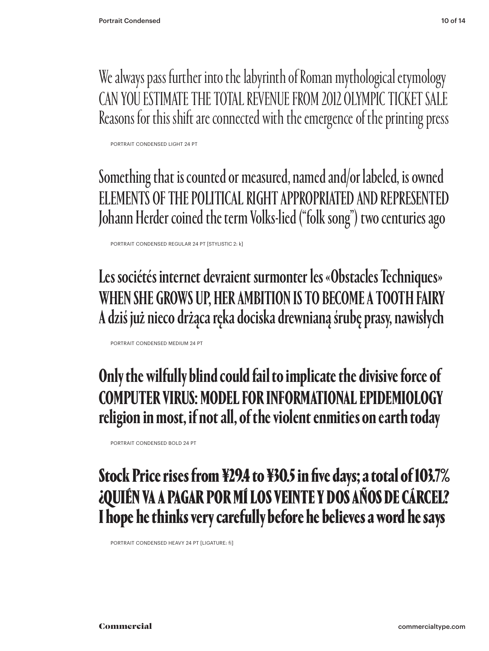We always pass further into the labyrinth of Roman mythological etymology CAN YOU ESTIMATE THE TOTAL REVENUE FROM 2012 OLYMPIC TICKET SALE Reasons for this shift are connected with the emergence of the printing press

PORTRAIT CONDENSED LIGHT 24 PT

Something that is counted or measured, named and/or labeled, is owned ELEMENTS OF THE POLITICAL RIGHT APPROPRIATED AND REPRESENTED Johann Herder coined the term Volks-lied ("folk song") two centuries ago

PORTRAIT CONDENSED REGULAR 24 PT [STYLISTIC 2: k]

Les sociétés internet devraient surmonter les «Obstacles Techniques» WHEN SHE GROWS UP, HER AMBITION IS TO BECOME A TOOTH FAIRY A dziś już nieco drżąca ręka dociska drewnianą śrubę prasy, nawisłych

PORTRAIT CONDENSED MEDIUM 24 PT

**Only the wilfully blind could fail to implicate the divisive force of COMPUTER VIRUS: MODEL FOR INFORMATIONAL EPIDEMIOLOGY religion in most, if not all, of the violent enmities on earth today**

PORTRAIT CONDENSED BOLD 24 PT

### Stock Price rises from ¥29.4 to ¥30.5 in five days; a total of 103.7% ¿QUIÉN VA A PAGAR POR MÍ LOS VEINTE Y DOS AÑOS DE CÁRCEL? I hope he thinks very carefully before he believes a word he says

PORTRAIT CONDENSED HEAVY 24 PT [LIGATURE: fi]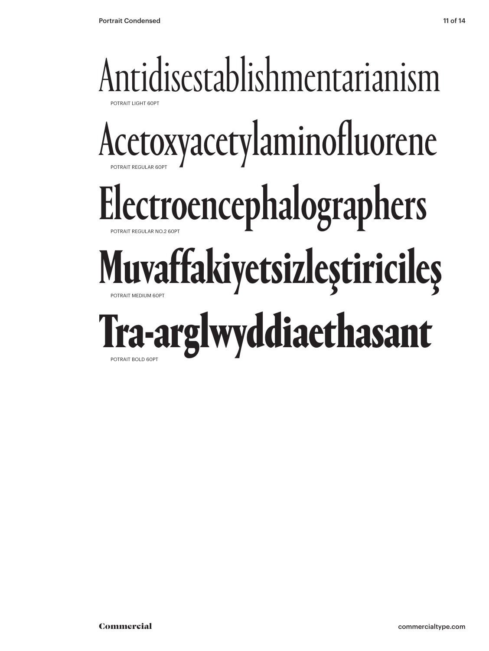### Antidisestablishmentarianism POTRAIT LIGHT 60PT Acetoxyacetylaminofluorene POTRAIT REGULAR 60PT Electroencephalographers POTRAIT REGULAR NO.2 60PT **Muvaffakiyetsizleştiricileş** POTRAIT MEDIUM 60PT Tra-arglwyddiaethasant POTRAIT BOLD 60PT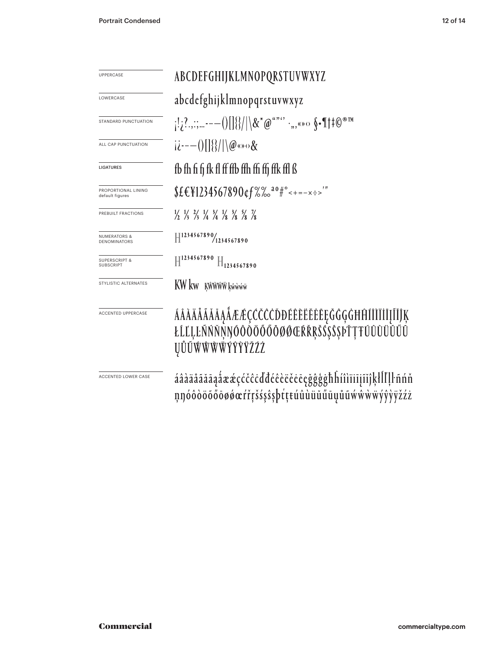| <b>UPPERCASE</b>                               | ABCDEFGHIJKLMNOPQRSTUVWXYZ                                                                                                    |
|------------------------------------------------|-------------------------------------------------------------------------------------------------------------------------------|
| LOWERCASE                                      | abcdefghijklmnopqrstuvwxyz                                                                                                    |
| STANDARD PUNCTUATION                           | $ 1;?,$ ;;,---()[]{}/ \&*@""'` ·,,«»<> $\S$ •¶#0®™                                                                            |
| ALL CAP PUNCTUATION                            | $(i^{2}$ = $-()$ $\frac{1}{8}$ $\frac{1}{8}$ $\frac{1}{2}$ $\frac{1}{2}$ $\frac{1}{2}$ $\frac{1}{2}$                          |
| <b>LIGATURES</b>                               | fb fh fi fi fk fl ff ffb ffh ffi ffj ffk ffl ß                                                                                |
| PROPORTIONAL LINING<br>default figures         | $$£€¥1234567890¢f%0^30#°<+=-x:-''$                                                                                            |
| PREBUILT FRACTIONS                             | $\frac{1}{2}$ $\frac{1}{3}$ $\frac{2}{3}$ $\frac{1}{4}$ $\frac{3}{4}$ $\frac{1}{8}$ $\frac{3}{8}$ $\frac{5}{8}$ $\frac{7}{8}$ |
| <b>NUMERATORS &amp;</b><br><b>DENOMINATORS</b> | $\left \frac{1234567890}{1234567890}\right $                                                                                  |
| <b>SUPERSCRIPT &amp;</b><br><b>SUBSCRIPT</b>   | $H^{1234567890}$<br>$H_{1234567890}$                                                                                          |
| STYLISTIC ALTERNATES                           | KW kw Kŵŵŵw kŵwww                                                                                                             |
| <b>ACCENTED UPPERCASE</b>                      | ÁÂĂĂĂĂĂĂĄÅÆÆÇČČĈŎĐÉÊÈËĔĔĔĘĞĜĢĠĦĤĨĨĨĬĬĮĨĬĴĶ<br>ŁĹĽĻĿŇŃŇŇŊÓÔŎŎŎŎŎŎØŒŔŘŖŠŠŠŜŖĎŢŦŨŨŨŨŬŰŰ<br><b>UŮŨŴŴŴŴŶŶŶŽŹŻ</b>                  |
| ACCENTED LOWER CASE                            | áâàäåãăāaåææçćčĉċďđéêèëěeçğĝģġħĥíîìïiijĩĭĵķłĺľļŀñńň<br>nnóôòöõőōøøœŕřŗšśşŝşþŕţŧúûùüŭűūųůũẃŵẁẅÿŷỳÿžźż                          |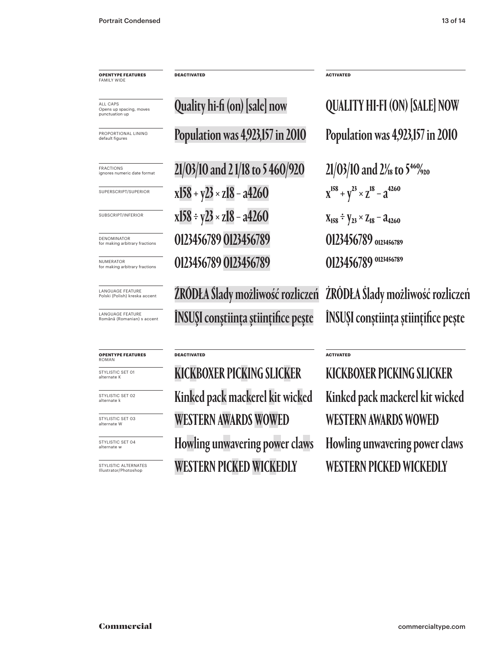**OPENTYPE FEATURES** FAMILY WIDE

Opens up spacing, moves punctuation up

LANGUAGE FEATURE Polski (Polish) kreska accent

LANGUAGE FEATURE Română (Romanian) s accent

#### **OPENTYPE FEATURES** ROMAN

STYLISTIC SFT 01 alternate k

STYLISTIC SET 02 alternate k

STYLISTIC SET 03 alternate W

STYLISTIC SET 04 alternate w

STYLISTIC ALTERNATES Illustrator/Photoshop

 $\frac{1}{\sqrt{\frac{21}{100}}\times 10^{10}}$  and 2% and 21/03/10 and 21/18 to 5 460/920  $21/03/10$  and 2% to 5  $^{46}\%$  20 **x**158 + y<sup>23</sup> × z<sup>18</sup> - a<sup>4260</sup> x<sup>158</sup> + y<sup>23</sup> × z<sup>18</sup> - a<sup>4260</sup> **x**158 ÷ y23 × z18 − a4260  $x_{158} \div y_{23} \times z_{18} - a_{4260}$  $\frac{1}{\text{NUMERATOR}}$  (SP MBERATOR CONSERVATION  $0123456789$  0123456789 0123456789 0123456789  $\frac{1}{\text{DENOMINATION}}$  (or making arbitrary fractions **0123456789 0123456789 0123456789** 0123456789

Quality hi-fi (on) [sale] now

ŹRÓDŁA Ślady możliwość rozliczeń ÎNSUŞI conştiinţa ştiinţifice peşte

#### **DEACTIVATED**

**DEACTIVATED**

KICKBOXER PICKING SLICKER WESTERN AWARDS WOWED Kinked pack mackerel kit wicked WESTERN PICKED WICKEDLY Howling unwavering power claws

 $\frac{1}{\text{PROPOSITION} \times 1 \text{ LINING}}$  Population was 4,923,157 in 2010 Population was 4,923,157 in 2010 **Quality hi-fi (on) [sale] now ALL CAPS CON** [SALE] NOW

ŹRÓDŁA Ślady możliwość rozliczeń ÎNSUŞI conştiinţa ştiinţifice peşte

KICKBOXER PICKING SLICKER WESTERN AWARDS WOWED Kinked pack mackerel kit wicked WESTERN PICKED WICKEDLY Howling unwavering power claws

**ACTIVATED**